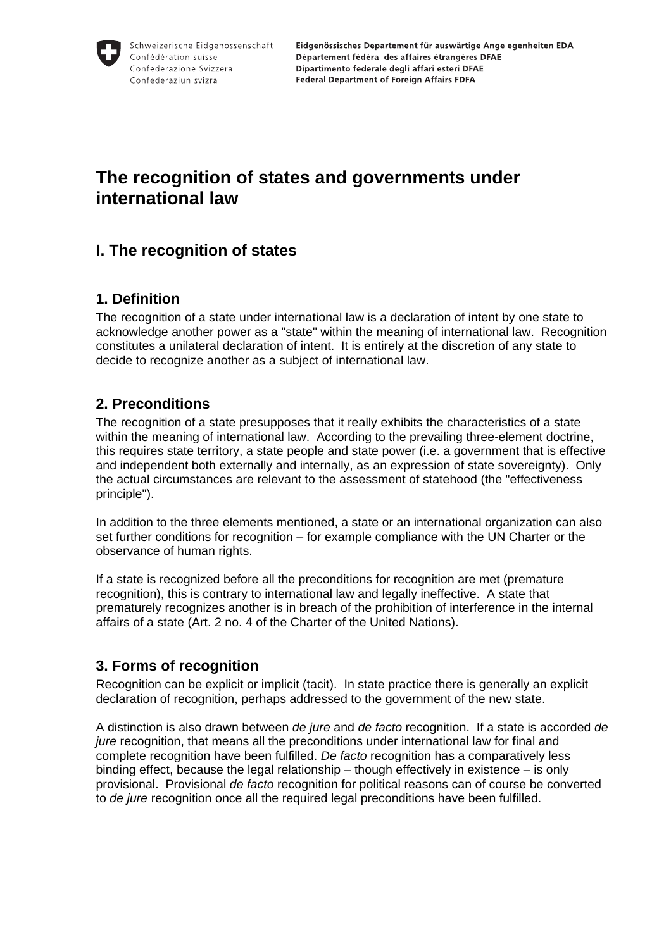# **The recognition of states and governments under international law**

## **I. The recognition of states**

#### **1. Definition**

The recognition of a state under international law is a declaration of intent by one state to acknowledge another power as a "state" within the meaning of international law. Recognition constitutes a unilateral declaration of intent. It is entirely at the discretion of any state to decide to recognize another as a subject of international law.

### **2. Preconditions**

The recognition of a state presupposes that it really exhibits the characteristics of a state within the meaning of international law. According to the prevailing three-element doctrine, this requires state territory, a state people and state power (i.e. a government that is effective and independent both externally and internally, as an expression of state sovereignty). Only the actual circumstances are relevant to the assessment of statehood (the "effectiveness principle").

In addition to the three elements mentioned, a state or an international organization can also set further conditions for recognition – for example compliance with the UN Charter or the observance of human rights.

If a state is recognized before all the preconditions for recognition are met (premature recognition), this is contrary to international law and legally ineffective. A state that prematurely recognizes another is in breach of the prohibition of interference in the internal affairs of a state (Art. 2 no. 4 of the Charter of the United Nations).

### **3. Forms of recognition**

Recognition can be explicit or implicit (tacit). In state practice there is generally an explicit declaration of recognition, perhaps addressed to the government of the new state.

A distinction is also drawn between *de jure* and *de facto* recognition. If a state is accorded *de jure* recognition, that means all the preconditions under international law for final and complete recognition have been fulfilled. *De facto* recognition has a comparatively less binding effect, because the legal relationship – though effectively in existence – is only provisional. Provisional *de facto* recognition for political reasons can of course be converted to *de jure* recognition once all the required legal preconditions have been fulfilled.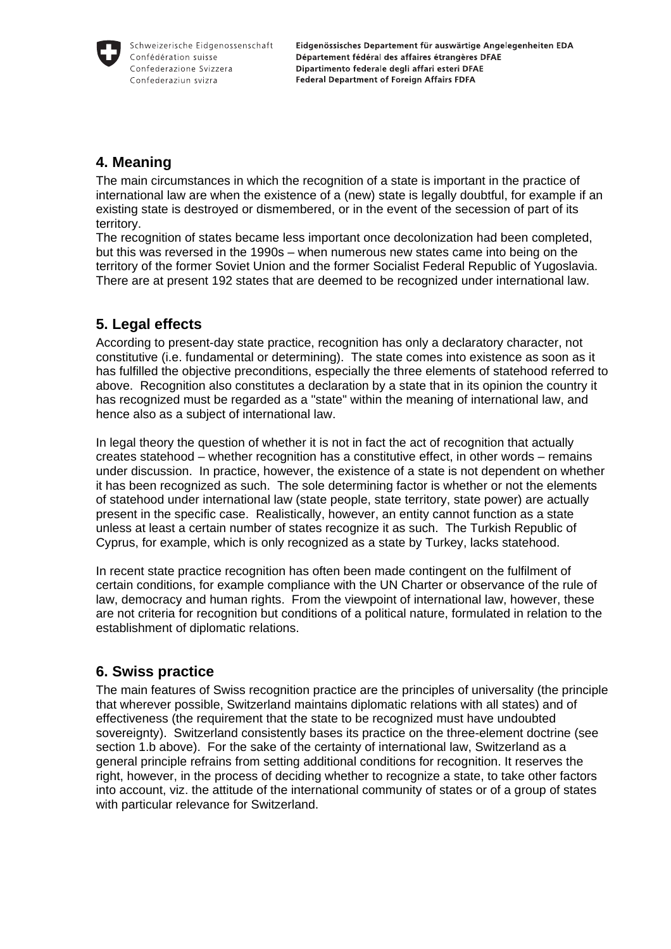Eidgenössisches Departement für auswärtige Angelegenheiten EDA Département fédéral des affaires étrangères DFAE Dipartimento federale degli affari esteri DFAE **Federal Department of Foreign Affairs FDFA** 

### **4. Meaning**

The main circumstances in which the recognition of a state is important in the practice of international law are when the existence of a (new) state is legally doubtful, for example if an existing state is destroyed or dismembered, or in the event of the secession of part of its territory.

The recognition of states became less important once decolonization had been completed, but this was reversed in the 1990s – when numerous new states came into being on the territory of the former Soviet Union and the former Socialist Federal Republic of Yugoslavia. There are at present 192 states that are deemed to be recognized under international law.

### **5. Legal effects**

According to present-day state practice, recognition has only a declaratory character, not constitutive (i.e. fundamental or determining). The state comes into existence as soon as it has fulfilled the objective preconditions, especially the three elements of statehood referred to above. Recognition also constitutes a declaration by a state that in its opinion the country it has recognized must be regarded as a "state" within the meaning of international law, and hence also as a subject of international law.

In legal theory the question of whether it is not in fact the act of recognition that actually creates statehood – whether recognition has a constitutive effect, in other words – remains under discussion. In practice, however, the existence of a state is not dependent on whether it has been recognized as such. The sole determining factor is whether or not the elements of statehood under international law (state people, state territory, state power) are actually present in the specific case. Realistically, however, an entity cannot function as a state unless at least a certain number of states recognize it as such. The Turkish Republic of Cyprus, for example, which is only recognized as a state by Turkey, lacks statehood.

In recent state practice recognition has often been made contingent on the fulfilment of certain conditions, for example compliance with the UN Charter or observance of the rule of law, democracy and human rights. From the viewpoint of international law, however, these are not criteria for recognition but conditions of a political nature, formulated in relation to the establishment of diplomatic relations.

### **6. Swiss practice**

The main features of Swiss recognition practice are the principles of universality (the principle that wherever possible, Switzerland maintains diplomatic relations with all states) and of effectiveness (the requirement that the state to be recognized must have undoubted sovereignty). Switzerland consistently bases its practice on the three-element doctrine (see section 1.b above). For the sake of the certainty of international law, Switzerland as a general principle refrains from setting additional conditions for recognition. It reserves the right, however, in the process of deciding whether to recognize a state, to take other factors into account, viz. the attitude of the international community of states or of a group of states with particular relevance for Switzerland.